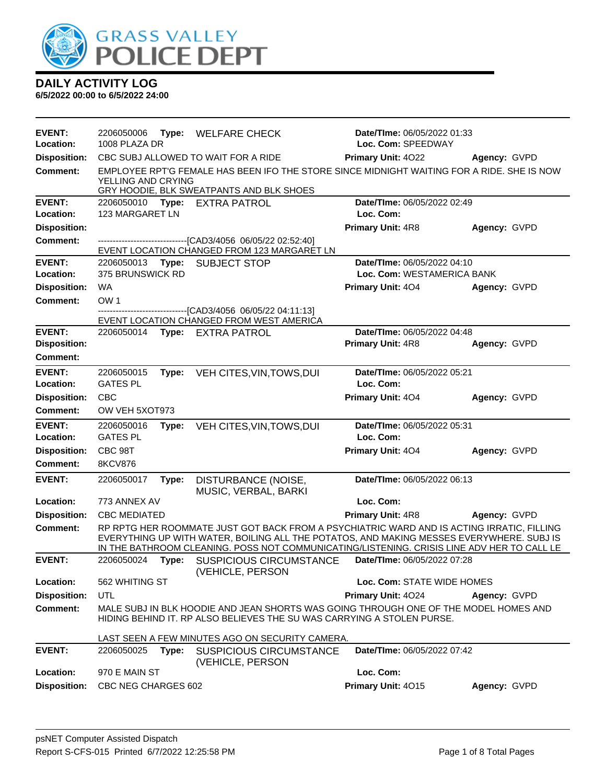

|  |  | <b>DAILY ACTIVITY LOG</b> |  |
|--|--|---------------------------|--|
|--|--|---------------------------|--|

| EVENT:<br>Location:                  | 2206050006<br>1008 PLAZA DR |       | Type: WELFARE CHECK                                                                                                                                                                                                                                                                 | Date/TIme: 06/05/2022 01:33<br>Loc. Com: SPEEDWAY         |              |
|--------------------------------------|-----------------------------|-------|-------------------------------------------------------------------------------------------------------------------------------------------------------------------------------------------------------------------------------------------------------------------------------------|-----------------------------------------------------------|--------------|
| <b>Disposition:</b>                  |                             |       | CBC SUBJ ALLOWED TO WAIT FOR A RIDE                                                                                                                                                                                                                                                 | Primary Unit: 4022                                        | Agency: GVPD |
| <b>Comment:</b>                      | YELLING AND CRYING          |       | EMPLOYEE RPT'G FEMALE HAS BEEN IFO THE STORE SINCE MIDNIGHT WAITING FOR A RIDE. SHE IS NOW<br>GRY HOODIE, BLK SWEATPANTS AND BLK SHOES                                                                                                                                              |                                                           |              |
| <b>EVENT:</b><br>Location:           | 123 MARGARET LN             |       | 2206050010 Type: EXTRA PATROL                                                                                                                                                                                                                                                       | Date/TIme: 06/05/2022 02:49<br>Loc. Com:                  |              |
| <b>Disposition:</b>                  |                             |       |                                                                                                                                                                                                                                                                                     | <b>Primary Unit: 4R8</b>                                  | Agency: GVPD |
| <b>Comment:</b>                      |                             |       | -------------------------------[CAD3/4056 06/05/22 02:52:40]                                                                                                                                                                                                                        |                                                           |              |
| <b>EVENT:</b>                        |                             |       | EVENT LOCATION CHANGED FROM 123 MARGARET LN                                                                                                                                                                                                                                         |                                                           |              |
| Location:                            | 375 BRUNSWICK RD            |       | 2206050013 Type: SUBJECT STOP                                                                                                                                                                                                                                                       | Date/TIme: 06/05/2022 04:10<br>Loc. Com: WESTAMERICA BANK |              |
| <b>Disposition:</b>                  | <b>WA</b>                   |       |                                                                                                                                                                                                                                                                                     | <b>Primary Unit: 404</b>                                  | Agency: GVPD |
| <b>Comment:</b>                      | OW <sub>1</sub>             |       |                                                                                                                                                                                                                                                                                     |                                                           |              |
|                                      |                             |       | --------------------[CAD3/4056_06/05/22_04:11:13]                                                                                                                                                                                                                                   |                                                           |              |
|                                      |                             |       | EVENT LOCATION CHANGED FROM WEST AMERICA                                                                                                                                                                                                                                            |                                                           |              |
| <b>EVENT:</b><br><b>Disposition:</b> |                             |       | 2206050014 Type: EXTRA PATROL                                                                                                                                                                                                                                                       | Date/TIme: 06/05/2022 04:48<br><b>Primary Unit: 4R8</b>   | Agency: GVPD |
| <b>Comment:</b>                      |                             |       |                                                                                                                                                                                                                                                                                     |                                                           |              |
| <b>EVENT:</b>                        | 2206050015                  |       | VEH CITES, VIN, TOWS, DUI                                                                                                                                                                                                                                                           | Date/TIme: 06/05/2022 05:21                               |              |
| Location:                            | <b>GATES PL</b>             | Type: |                                                                                                                                                                                                                                                                                     | Loc. Com:                                                 |              |
| <b>Disposition:</b>                  | <b>CBC</b>                  |       |                                                                                                                                                                                                                                                                                     | Primary Unit: 404                                         | Agency: GVPD |
| <b>Comment:</b>                      | OW VEH 5XOT973              |       |                                                                                                                                                                                                                                                                                     |                                                           |              |
| <b>EVENT:</b>                        | 2206050016                  | Type: | VEH CITES, VIN, TOWS, DUI                                                                                                                                                                                                                                                           | Date/TIme: 06/05/2022 05:31                               |              |
| Location:                            | <b>GATES PL</b>             |       |                                                                                                                                                                                                                                                                                     | Loc. Com:                                                 |              |
| <b>Disposition:</b>                  | CBC 98T                     |       |                                                                                                                                                                                                                                                                                     | Primary Unit: 404                                         | Agency: GVPD |
| Comment:                             | <b>8KCV876</b>              |       |                                                                                                                                                                                                                                                                                     |                                                           |              |
| <b>EVENT:</b>                        | 2206050017                  | Type: | DISTURBANCE (NOISE,<br>MUSIC, VERBAL, BARKI                                                                                                                                                                                                                                         | Date/TIme: 06/05/2022 06:13                               |              |
| Location:                            | 773 ANNEX AV                |       |                                                                                                                                                                                                                                                                                     | Loc. Com:                                                 |              |
| <b>Disposition:</b>                  | <b>CBC MEDIATED</b>         |       |                                                                                                                                                                                                                                                                                     | <b>Primary Unit: 4R8</b>                                  | Agency: GVPD |
| <b>Comment:</b>                      |                             |       | RP RPTG HER ROOMMATE JUST GOT BACK FROM A PSYCHIATRIC WARD AND IS ACTING IRRATIC, FILLING<br>EVERYTHING UP WITH WATER, BOILING ALL THE POTATOS, AND MAKING MESSES EVERYWHERE. SUBJ IS<br>IN THE BATHROOM CLEANING. POSS NOT COMMUNICATING/LISTENING. CRISIS LINE ADV HER TO CALL LE |                                                           |              |
| <b>EVENT:</b>                        | 2206050024                  | Type: | <b>SUSPICIOUS CIRCUMSTANCE</b><br>(VEHICLE, PERSON                                                                                                                                                                                                                                  | Date/TIme: 06/05/2022 07:28                               |              |
| Location:                            | 562 WHITING ST              |       |                                                                                                                                                                                                                                                                                     | Loc. Com: STATE WIDE HOMES                                |              |
| <b>Disposition:</b>                  | UTL                         |       |                                                                                                                                                                                                                                                                                     | Primary Unit: 4024                                        | Agency: GVPD |
| <b>Comment:</b>                      |                             |       | MALE SUBJ IN BLK HOODIE AND JEAN SHORTS WAS GOING THROUGH ONE OF THE MODEL HOMES AND<br>HIDING BEHIND IT. RP ALSO BELIEVES THE SU WAS CARRYING A STOLEN PURSE.                                                                                                                      |                                                           |              |
|                                      |                             |       | LAST SEEN A FEW MINUTES AGO ON SECURITY CAMERA.                                                                                                                                                                                                                                     |                                                           |              |
| <b>EVENT:</b>                        | 2206050025                  | Type: | <b>SUSPICIOUS CIRCUMSTANCE</b><br>(VEHICLE, PERSON                                                                                                                                                                                                                                  | <b>Date/Time: 06/05/2022 07:42</b>                        |              |
| Location:                            | 970 E MAIN ST               |       |                                                                                                                                                                                                                                                                                     | Loc. Com:                                                 |              |
| <b>Disposition:</b>                  | CBC NEG CHARGES 602         |       |                                                                                                                                                                                                                                                                                     | Primary Unit: 4015                                        | Agency: GVPD |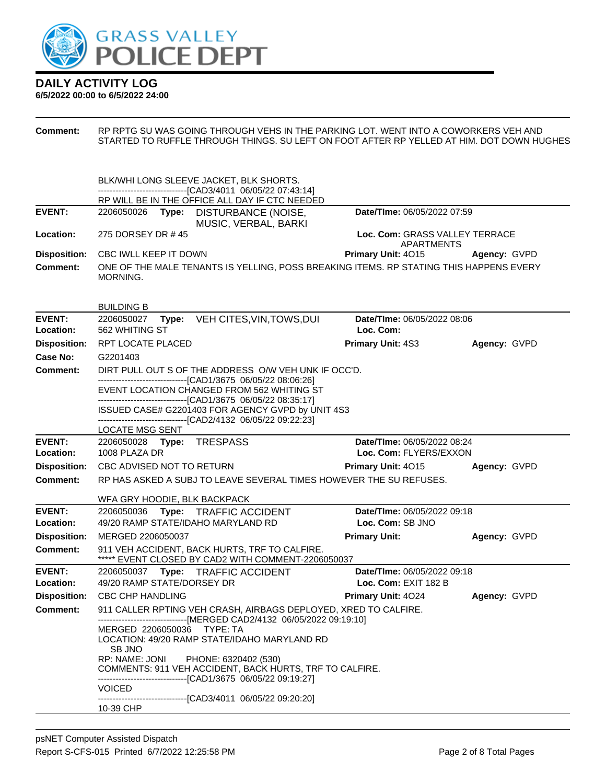

**DAILY ACTIVITY LOG 6/5/2022 00:00 to 6/5/2022 24:00**

**Comment:** RP RPTG SU WAS GOING THROUGH VEHS IN THE PARKING LOT. WENT INTO A COWORKERS VEH AND STARTED TO RUFFLE THROUGH THINGS. SU LEFT ON FOOT AFTER RP YELLED AT HIM. DOT DOWN HUGHES

|                                  | BLK/WHI LONG SLEEVE JACKET, BLK SHORTS.                                                                                                                           |                                                     |              |
|----------------------------------|-------------------------------------------------------------------------------------------------------------------------------------------------------------------|-----------------------------------------------------|--------------|
|                                  | ----------------------------[CAD3/4011_06/05/22 07:43:14]                                                                                                         |                                                     |              |
| <b>EVENT:</b>                    | RP WILL BE IN THE OFFICE ALL DAY IF CTC NEEDED<br>2206050026 Type: DISTURBANCE (NOISE,                                                                            | Date/TIme: 06/05/2022 07:59                         |              |
|                                  | MUSIC, VERBAL, BARKI                                                                                                                                              |                                                     |              |
| Location:                        | 275 DORSEY DR #45                                                                                                                                                 | Loc. Com: GRASS VALLEY TERRACE<br><b>APARTMENTS</b> |              |
| <b>Disposition:</b>              | CBC IWLL KEEP IT DOWN                                                                                                                                             | <b>Primary Unit: 4015</b>                           | Agency: GVPD |
| Comment:                         | ONE OF THE MALE TENANTS IS YELLING, POSS BREAKING ITEMS. RP STATING THIS HAPPENS EVERY                                                                            |                                                     |              |
|                                  | MORNING.                                                                                                                                                          |                                                     |              |
|                                  |                                                                                                                                                                   |                                                     |              |
|                                  | <b>BUILDING B</b>                                                                                                                                                 |                                                     |              |
| <b>EVENT:</b>                    | VEH CITES, VIN, TOWS, DUI<br>2206050027<br>Type:<br>562 WHITING ST                                                                                                | Date/TIme: 06/05/2022 08:06<br>Loc. Com:            |              |
| Location:<br><b>Disposition:</b> | <b>RPT LOCATE PLACED</b>                                                                                                                                          | <b>Primary Unit: 4S3</b>                            | Agency: GVPD |
| <b>Case No:</b>                  | G2201403                                                                                                                                                          |                                                     |              |
| Comment:                         | DIRT PULL OUT S OF THE ADDRESS O/W VEH UNK IF OCC'D.                                                                                                              |                                                     |              |
|                                  | -------------------------------[CAD1/3675 06/05/22 08:06:26]                                                                                                      |                                                     |              |
|                                  | EVENT LOCATION CHANGED FROM 562 WHITING ST<br>-------------------------------[CAD1/3675 06/05/22 08:35:17]                                                        |                                                     |              |
|                                  | ISSUED CASE# G2201403 FOR AGENCY GVPD by UNIT 4S3                                                                                                                 |                                                     |              |
|                                  | ------------------------------[CAD2/4132 06/05/22 09:22:23]<br><b>LOCATE MSG SENT</b>                                                                             |                                                     |              |
| <b>EVENT:</b>                    | 2206050028 Type: TRESPASS                                                                                                                                         | Date/TIme: 06/05/2022 08:24                         |              |
| Location:                        | 1008 PLAZA DR                                                                                                                                                     | Loc. Com: FLYERS/EXXON                              |              |
| <b>Disposition:</b>              | CBC ADVISED NOT TO RETURN                                                                                                                                         | <b>Primary Unit: 4015</b>                           | Agency: GVPD |
| Comment:                         | RP HAS ASKED A SUBJ TO LEAVE SEVERAL TIMES HOWEVER THE SU REFUSES.                                                                                                |                                                     |              |
|                                  | WFA GRY HOODIE, BLK BACKPACK                                                                                                                                      |                                                     |              |
| <b>EVENT:</b>                    | 2206050036<br><b>TRAFFIC ACCIDENT</b><br>Type:                                                                                                                    | Date/TIme: 06/05/2022 09:18                         |              |
| Location:                        | 49/20 RAMP STATE/IDAHO MARYLAND RD                                                                                                                                | Loc. Com: SB JNO                                    |              |
| <b>Disposition:</b>              | MERGED 2206050037                                                                                                                                                 | <b>Primary Unit:</b>                                | Agency: GVPD |
| Comment:                         | 911 VEH ACCIDENT, BACK HURTS, TRF TO CALFIRE.<br>***** EVENT CLOSED BY CAD2 WITH COMMENT-2206050037                                                               |                                                     |              |
| <b>EVENT:</b>                    | 2206050037<br>Type: TRAFFIC ACCIDENT                                                                                                                              | Date/TIme: 06/05/2022 09:18                         |              |
| Location:                        | 49/20 RAMP STATE/DORSEY DR                                                                                                                                        | Loc. Com: EXIT 182 B                                |              |
| <b>Disposition:</b>              | <b>CBC CHP HANDLING</b>                                                                                                                                           | <b>Primary Unit: 4024</b>                           | Agency: GVPD |
| <b>Comment:</b>                  | 911 CALLER RPTING VEH CRASH, AIRBAGS DEPLOYED, XRED TO CALFIRE.<br>-------------------------------[MERGED CAD2/4132 06/05/2022 09:19:10]                          |                                                     |              |
|                                  | MERGED 2206050036 TYPE: TA<br>LOCATION: 49/20 RAMP STATE/IDAHO MARYLAND RD<br><b>SB JNO</b>                                                                       |                                                     |              |
|                                  | RP: NAME: JONI<br>PHONE: 6320402 (530)<br>COMMENTS: 911 VEH ACCIDENT, BACK HURTS, TRF TO CALFIRE.<br>-------------------------------[CAD1/3675 06/05/22 09:19:27] |                                                     |              |
|                                  | <b>VOICED</b><br>-------------------------------[CAD3/4011 06/05/22 09:20:20]                                                                                     |                                                     |              |
|                                  | 10-39 CHP                                                                                                                                                         |                                                     |              |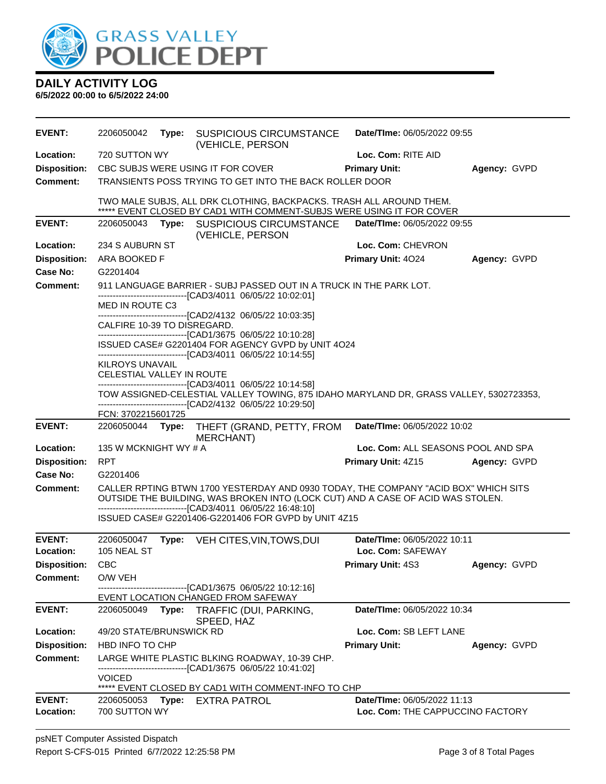

| <b>EVENT:</b>              | 2206050042                  |       | Type: SUSPICIOUS CIRCUMSTANCE<br>(VEHICLE, PERSON                                                                                                                      | Date/TIme: 06/05/2022 09:55                                            |              |
|----------------------------|-----------------------------|-------|------------------------------------------------------------------------------------------------------------------------------------------------------------------------|------------------------------------------------------------------------|--------------|
| Location:                  | 720 SUTTON WY               |       |                                                                                                                                                                        | Loc. Com: RITE AID                                                     |              |
| <b>Disposition:</b>        |                             |       | CBC SUBJS WERE USING IT FOR COVER                                                                                                                                      | <b>Primary Unit:</b>                                                   | Agency: GVPD |
| <b>Comment:</b>            |                             |       | TRANSIENTS POSS TRYING TO GET INTO THE BACK ROLLER DOOR                                                                                                                |                                                                        |              |
|                            |                             |       | TWO MALE SUBJS, ALL DRK CLOTHING, BACKPACKS. TRASH ALL AROUND THEM.<br>***** EVENT CLOSED BY CAD1 WITH COMMENT-SUBJS WERE USING IT FOR COVER                           |                                                                        |              |
| <b>EVENT:</b>              | 2206050043                  | Type: | <b>SUSPICIOUS CIRCUMSTANCE</b>                                                                                                                                         | Date/TIme: 06/05/2022 09:55                                            |              |
|                            |                             |       | (VEHICLE, PERSON                                                                                                                                                       |                                                                        |              |
| Location:                  | 234 S AUBURN ST             |       |                                                                                                                                                                        | Loc. Com: CHEVRON                                                      |              |
| <b>Disposition:</b>        | ARA BOOKED F                |       |                                                                                                                                                                        | Primary Unit: 4024                                                     | Agency: GVPD |
| <b>Case No:</b>            | G2201404                    |       |                                                                                                                                                                        |                                                                        |              |
| <b>Comment:</b>            |                             |       | 911 LANGUAGE BARRIER - SUBJ PASSED OUT IN A TRUCK IN THE PARK LOT.<br>-------------------------------[CAD3/4011 06/05/22 10:02:01]                                     |                                                                        |              |
|                            | MED IN ROUTE C3             |       |                                                                                                                                                                        |                                                                        |              |
|                            | CALFIRE 10-39 TO DISREGARD. |       | -------------------------------[CAD2/4132 06/05/22 10:03:35]                                                                                                           |                                                                        |              |
|                            |                             |       | -------------------------------[CAD1/3675 06/05/22 10:10:28]                                                                                                           |                                                                        |              |
|                            |                             |       | ISSUED CASE# G2201404 FOR AGENCY GVPD by UNIT 4O24                                                                                                                     |                                                                        |              |
|                            | <b>KILROYS UNAVAIL</b>      |       | -------------------------------[CAD3/4011_06/05/22 10:14:55]                                                                                                           |                                                                        |              |
|                            | CELESTIAL VALLEY IN ROUTE   |       |                                                                                                                                                                        |                                                                        |              |
|                            |                             |       | ------------------------------[CAD3/4011 06/05/22 10:14:58]                                                                                                            |                                                                        |              |
|                            |                             |       | TOW ASSIGNED-CELESTIAL VALLEY TOWING, 875 IDAHO MARYLAND DR, GRASS VALLEY, 5302723353,<br>-------------------------------[CAD2/4132 06/05/22 10:29:50]                 |                                                                        |              |
|                            | FCN: 3702215601725          |       |                                                                                                                                                                        |                                                                        |              |
|                            |                             |       |                                                                                                                                                                        |                                                                        |              |
| <b>EVENT:</b>              | 2206050044 Type:            |       | THEFT (GRAND, PETTY, FROM<br><b>MERCHANT)</b>                                                                                                                          | Date/TIme: 06/05/2022 10:02                                            |              |
| Location:                  | 135 W MCKNIGHT WY # A       |       |                                                                                                                                                                        | Loc. Com: ALL SEASONS POOL AND SPA                                     |              |
| <b>Disposition:</b>        | <b>RPT</b>                  |       |                                                                                                                                                                        | Primary Unit: 4Z15                                                     | Agency: GVPD |
| Case No:                   | G2201406                    |       |                                                                                                                                                                        |                                                                        |              |
| <b>Comment:</b>            |                             |       | CALLER RPTING BTWN 1700 YESTERDAY AND 0930 TODAY, THE COMPANY "ACID BOX" WHICH SITS<br>OUTSIDE THE BUILDING, WAS BROKEN INTO (LOCK CUT) AND A CASE OF ACID WAS STOLEN. |                                                                        |              |
|                            |                             |       | --------------------------------[CAD3/4011 06/05/22 16:48:10]<br>ISSUED CASE# G2201406-G2201406 FOR GVPD by UNIT 4Z15                                                  |                                                                        |              |
|                            |                             |       |                                                                                                                                                                        |                                                                        |              |
| <b>EVENT:</b><br>Location: | 2206050047                  | Type: | VEH CITES, VIN, TOWS, DUI                                                                                                                                              | Date/TIme: 06/05/2022 10:11<br>Loc. Com: SAFEWAY                       |              |
| <b>Disposition:</b>        | 105 NEAL ST<br>CBC          |       |                                                                                                                                                                        |                                                                        |              |
| <b>Comment:</b>            | O/W VEH                     |       |                                                                                                                                                                        | Primary Unit: 4S3                                                      | Agency: GVPD |
|                            |                             |       | --------------[CAD1/3675 06/05/22 10:12:16]                                                                                                                            |                                                                        |              |
|                            |                             |       | EVENT LOCATION CHANGED FROM SAFEWAY                                                                                                                                    |                                                                        |              |
| <b>EVENT:</b>              | 2206050049                  |       | Type: TRAFFIC (DUI, PARKING,                                                                                                                                           | Date/TIme: 06/05/2022 10:34                                            |              |
| Location:                  | 49/20 STATE/BRUNSWICK RD    |       | SPEED, HAZ                                                                                                                                                             | Loc. Com: SB LEFT LANE                                                 |              |
| <b>Disposition:</b>        | HBD INFO TO CHP             |       |                                                                                                                                                                        | <b>Primary Unit:</b>                                                   | Agency: GVPD |
| <b>Comment:</b>            |                             |       | LARGE WHITE PLASTIC BLKING ROADWAY, 10-39 CHP.                                                                                                                         |                                                                        |              |
|                            | VOICED                      |       | -----------------------[CAD1/3675_06/05/22_10:41:02]                                                                                                                   |                                                                        |              |
|                            |                             |       | ***** EVENT CLOSED BY CAD1 WITH COMMENT-INFO TO CHP                                                                                                                    |                                                                        |              |
| <b>EVENT:</b><br>Location: | 2206050053<br>700 SUTTON WY |       | Type: EXTRA PATROL                                                                                                                                                     | <b>Date/Time: 06/05/2022 11:13</b><br>Loc. Com: THE CAPPUCCINO FACTORY |              |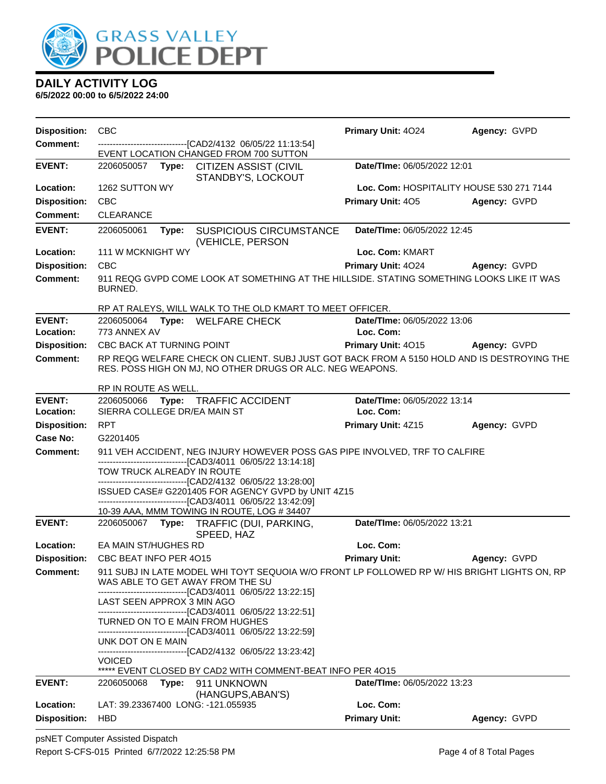

| <b>Disposition:</b>              | <b>CBC</b>                                                                                                                                                               | Primary Unit: 4024                       | Agency: GVPD                             |
|----------------------------------|--------------------------------------------------------------------------------------------------------------------------------------------------------------------------|------------------------------------------|------------------------------------------|
| Comment:                         | -------------------------------[CAD2/4132 06/05/22 11:13:54]<br>EVENT LOCATION CHANGED FROM 700 SUTTON                                                                   |                                          |                                          |
| <b>EVENT:</b>                    | Type: CITIZEN ASSIST (CIVIL<br>2206050057<br>STANDBY'S, LOCKOUT                                                                                                          | Date/TIme: 06/05/2022 12:01              |                                          |
| Location:                        | 1262 SUTTON WY                                                                                                                                                           |                                          | Loc. Com: HOSPITALITY HOUSE 530 271 7144 |
| <b>Disposition:</b>              | <b>CBC</b>                                                                                                                                                               | Primary Unit: 405                        | Agency: GVPD                             |
| Comment:                         | <b>CLEARANCE</b>                                                                                                                                                         |                                          |                                          |
| <b>EVENT:</b>                    | <b>SUSPICIOUS CIRCUMSTANCE</b><br>2206050061<br>Type:<br>(VEHICLE, PERSON                                                                                                | Date/TIme: 06/05/2022 12:45              |                                          |
| Location:                        | 111 W MCKNIGHT WY                                                                                                                                                        | Loc. Com: KMART                          |                                          |
| <b>Disposition:</b>              | <b>CBC</b>                                                                                                                                                               | Primary Unit: 4024                       | Agency: GVPD                             |
| <b>Comment:</b>                  | 911 REQG GVPD COME LOOK AT SOMETHING AT THE HILLSIDE. STATING SOMETHING LOOKS LIKE IT WAS<br>BURNED.                                                                     |                                          |                                          |
|                                  | RP AT RALEYS, WILL WALK TO THE OLD KMART TO MEET OFFICER.                                                                                                                |                                          |                                          |
| <b>EVENT:</b><br>Location:       | 2206050064 Type: WELFARE CHECK<br>773 ANNEX AV                                                                                                                           | Date/TIme: 06/05/2022 13:06<br>Loc. Com: |                                          |
| <b>Disposition:</b>              | CBC BACK AT TURNING POINT                                                                                                                                                | Primary Unit: 4015                       | Agency: GVPD                             |
| <b>Comment:</b>                  | RP REQG WELFARE CHECK ON CLIENT. SUBJ JUST GOT BACK FROM A 5150 HOLD AND IS DESTROYING THE<br>RES. POSS HIGH ON MJ, NO OTHER DRUGS OR ALC. NEG WEAPONS.                  |                                          |                                          |
|                                  | RP IN ROUTE AS WELL.                                                                                                                                                     |                                          |                                          |
| <b>EVENT:</b><br>Location:       | 2206050066<br>Type:<br><b>TRAFFIC ACCIDENT</b><br>SIERRA COLLEGE DR/EA MAIN ST                                                                                           | Date/TIme: 06/05/2022 13:14<br>Loc. Com: |                                          |
| <b>Disposition:</b>              | <b>RPT</b>                                                                                                                                                               | Primary Unit: 4Z15                       | Agency: GVPD                             |
| Case No:                         | G2201405                                                                                                                                                                 |                                          |                                          |
|                                  |                                                                                                                                                                          |                                          |                                          |
| Comment:                         | 911 VEH ACCIDENT, NEG INJURY HOWEVER POSS GAS PIPE INVOLVED, TRF TO CALFIRE<br>------------------------------[CAD3/4011 06/05/22 13:14:18]<br>TOW TRUCK ALREADY IN ROUTE |                                          |                                          |
|                                  | ---------------------[CAD2/4132 06/05/22 13:28:00]<br>ISSUED CASE# G2201405 FOR AGENCY GVPD by UNIT 4Z15<br>-------------------------------[CAD3/4011 06/05/22 13:42:09] |                                          |                                          |
| <b>EVENT:</b>                    | 10-39 AAA, MMM TOWING IN ROUTE, LOG #34407<br>Type: TRAFFIC (DUI, PARKING,<br>2206050067                                                                                 | Date/TIme: 06/05/2022 13:21              |                                          |
| Location:                        | SPEED, HAZ<br>EA MAIN ST/HUGHES RD                                                                                                                                       | Loc. Com:                                |                                          |
| <b>Disposition:</b>              | CBC BEAT INFO PER 4015                                                                                                                                                   | <b>Primary Unit:</b>                     | Agency: GVPD                             |
| <b>Comment:</b>                  | 911 SUBJ IN LATE MODEL WHI TOYT SEQUOIA W/O FRONT LP FOLLOWED RP W/ HIS BRIGHT LIGHTS ON, RP<br>WAS ABLE TO GET AWAY FROM THE SU                                         |                                          |                                          |
|                                  | -------------------------------[CAD3/4011 06/05/22 13:22:15]<br>LAST SEEN APPROX 3 MIN AGO<br>---------------------------------[CAD3/4011 06/05/22 13:22:51]             |                                          |                                          |
|                                  | TURNED ON TO E MAIN FROM HUGHES<br>--------------------------------[CAD3/4011 06/05/22 13:22:59]                                                                         |                                          |                                          |
|                                  | UNK DOT ON E MAIN<br>-------------------------------[CAD2/4132 06/05/22 13:23:42]                                                                                        |                                          |                                          |
|                                  | <b>VOICED</b><br>***** EVENT CLOSED BY CAD2 WITH COMMENT-BEAT INFO PER 4015                                                                                              |                                          |                                          |
| <b>EVENT:</b>                    | 2206050068<br>Type: 911 UNKNOWN<br>(HANGUPS, ABAN'S)                                                                                                                     | Date/TIme: 06/05/2022 13:23              |                                          |
| Location:<br><b>Disposition:</b> | LAT: 39.23367400 LONG: -121.055935<br><b>HBD</b>                                                                                                                         | Loc. Com:<br><b>Primary Unit:</b>        | Agency: GVPD                             |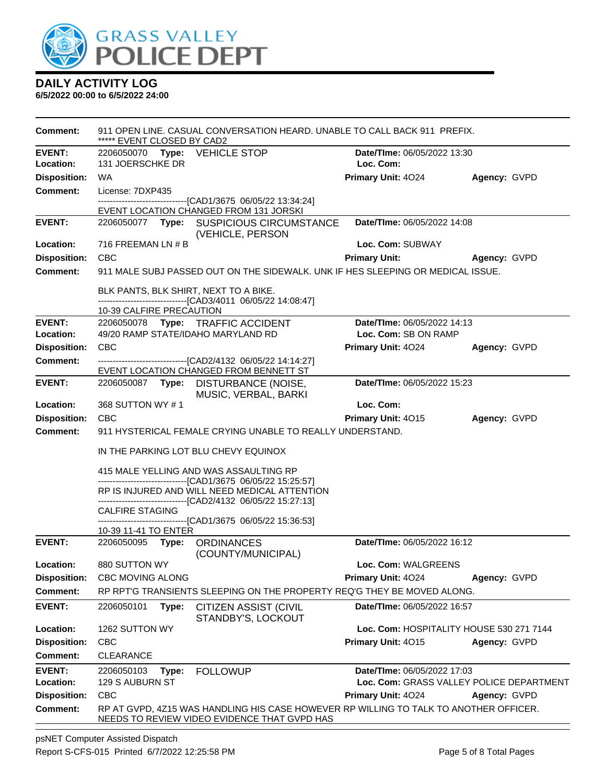

**6/5/2022 00:00 to 6/5/2022 24:00**

| <b>Comment:</b>     | 911 OPEN LINE. CASUAL CONVERSATION HEARD. UNABLE TO CALL BACK 911 PREFIX.<br>***** EVENT CLOSED BY CAD2                               |                                          |              |  |  |
|---------------------|---------------------------------------------------------------------------------------------------------------------------------------|------------------------------------------|--------------|--|--|
| <b>EVENT:</b>       | 2206050070 Type: VEHICLE STOP                                                                                                         | Date/TIme: 06/05/2022 13:30              |              |  |  |
| Location:           | 131 JOERSCHKE DR                                                                                                                      | Loc. Com:                                |              |  |  |
| <b>Disposition:</b> | WA.                                                                                                                                   | Primary Unit: 4024                       | Agency: GVPD |  |  |
| <b>Comment:</b>     | License: 7DXP435                                                                                                                      |                                          |              |  |  |
|                     | ------------------------------[CAD1/3675 06/05/22 13:34:24]<br>EVENT LOCATION CHANGED FROM 131 JORSKI                                 |                                          |              |  |  |
| <b>EVENT:</b>       | 2206050077 Type: SUSPICIOUS CIRCUMSTANCE                                                                                              | Date/TIme: 06/05/2022 14:08              |              |  |  |
|                     | (VEHICLE, PERSON                                                                                                                      |                                          |              |  |  |
| Location:           | 716 FREEMAN LN # B                                                                                                                    | Loc. Com: SUBWAY                         |              |  |  |
| <b>Disposition:</b> | <b>CBC</b>                                                                                                                            | <b>Primary Unit:</b>                     | Agency: GVPD |  |  |
| <b>Comment:</b>     | 911 MALE SUBJ PASSED OUT ON THE SIDEWALK. UNK IF HES SLEEPING OR MEDICAL ISSUE.                                                       |                                          |              |  |  |
|                     | BLK PANTS, BLK SHIRT, NEXT TO A BIKE.                                                                                                 |                                          |              |  |  |
|                     | -------------------------------[CAD3/4011 06/05/22 14:08:47]<br>10-39 CALFIRE PRECAUTION                                              |                                          |              |  |  |
| <b>EVENT:</b>       | 2206050078 Type: TRAFFIC ACCIDENT                                                                                                     | Date/TIme: 06/05/2022 14:13              |              |  |  |
| Location:           | 49/20 RAMP STATE/IDAHO MARYLAND RD                                                                                                    | Loc. Com: SB ON RAMP                     |              |  |  |
| <b>Disposition:</b> | <b>CBC</b>                                                                                                                            | Primary Unit: 4024                       | Agency: GVPD |  |  |
| <b>Comment:</b>     | -------------------------------[CAD2/4132 06/05/22 14:14:27]                                                                          |                                          |              |  |  |
|                     | EVENT LOCATION CHANGED FROM BENNETT ST                                                                                                |                                          |              |  |  |
| <b>EVENT:</b>       | 2206050087 Type: DISTURBANCE (NOISE,<br>MUSIC, VERBAL, BARKI                                                                          | Date/TIme: 06/05/2022 15:23              |              |  |  |
| Location:           | 368 SUTTON WY #1                                                                                                                      | Loc. Com:                                |              |  |  |
| <b>Disposition:</b> | <b>CBC</b>                                                                                                                            | <b>Primary Unit: 4015</b>                | Agency: GVPD |  |  |
| <b>Comment:</b>     | 911 HYSTERICAL FEMALE CRYING UNABLE TO REALLY UNDERSTAND.                                                                             |                                          |              |  |  |
|                     | IN THE PARKING LOT BLU CHEVY EQUINOX                                                                                                  |                                          |              |  |  |
|                     | 415 MALE YELLING AND WAS ASSAULTING RP                                                                                                |                                          |              |  |  |
|                     | -------------------------------[CAD1/3675 06/05/22 15:25:57]<br>RP IS INJURED AND WILL NEED MEDICAL ATTENTION                         |                                          |              |  |  |
|                     | -------------------------------[CAD2/4132 06/05/22 15:27:13]                                                                          |                                          |              |  |  |
|                     | <b>CALFIRE STAGING</b><br>-------------------------------[CAD1/3675 06/05/22 15:36:53]                                                |                                          |              |  |  |
|                     | 10-39 11-41 TO ENTER                                                                                                                  |                                          |              |  |  |
| <b>EVENT:</b>       | 2206050095 Type: ORDINANCES<br>(COUNTY/MUNICIPAL)                                                                                     | Date/TIme: 06/05/2022 16:12              |              |  |  |
| Location:           | 880 SUTTON WY                                                                                                                         | Loc. Com: WALGREENS                      |              |  |  |
| <b>Disposition:</b> | <b>CBC MOVING ALONG</b>                                                                                                               | <b>Primary Unit: 4024</b>                | Agency: GVPD |  |  |
| <b>Comment:</b>     | RP RPT'G TRANSIENTS SLEEPING ON THE PROPERTY REQ'G THEY BE MOVED ALONG.                                                               |                                          |              |  |  |
| <b>EVENT:</b>       | 2206050101<br>Type:<br><b>CITIZEN ASSIST (CIVIL</b><br>STANDBY'S, LOCKOUT                                                             | Date/TIme: 06/05/2022 16:57              |              |  |  |
| Location:           | 1262 SUTTON WY                                                                                                                        | Loc. Com: HOSPITALITY HOUSE 530 271 7144 |              |  |  |
| <b>Disposition:</b> | <b>CBC</b>                                                                                                                            | Primary Unit: 4015                       | Agency: GVPD |  |  |
| <b>Comment:</b>     | <b>CLEARANCE</b>                                                                                                                      |                                          |              |  |  |
| <b>EVENT:</b>       | <b>FOLLOWUP</b><br>2206050103<br>Type:                                                                                                | Date/TIme: 06/05/2022 17:03              |              |  |  |
| Location:           | 129 S AUBURN ST                                                                                                                       | Loc. Com: GRASS VALLEY POLICE DEPARTMENT |              |  |  |
| <b>Disposition:</b> | <b>CBC</b>                                                                                                                            | Primary Unit: 4024                       | Agency: GVPD |  |  |
| <b>Comment:</b>     | RP AT GVPD, 4Z15 WAS HANDLING HIS CASE HOWEVER RP WILLING TO TALK TO ANOTHER OFFICER.<br>NEEDS TO REVIEW VIDEO EVIDENCE THAT GVPD HAS |                                          |              |  |  |
|                     |                                                                                                                                       |                                          |              |  |  |

psNET Computer Assisted Dispatch Report S-CFS-015 Printed 6/7/2022 12:25:58 PM Page 5 of 8 Total Pages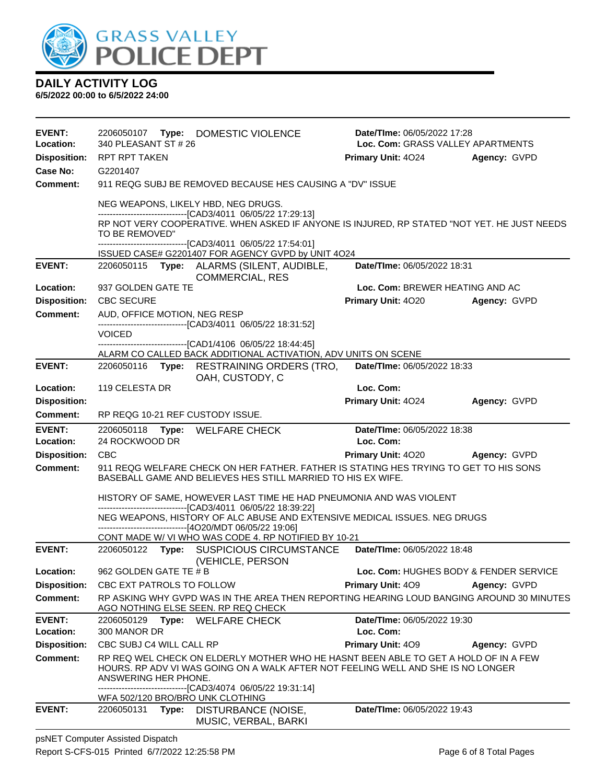

| <b>EVENT:</b><br>Location: | 2206050107<br>340 PLEASANT ST # 26 | Type: DOMESTIC VIOLENCE                                                                                                                                                                            | Date/TIme: 06/05/2022 17:28<br>Loc. Com: GRASS VALLEY APARTMENTS |              |  |
|----------------------------|------------------------------------|----------------------------------------------------------------------------------------------------------------------------------------------------------------------------------------------------|------------------------------------------------------------------|--------------|--|
| <b>Disposition:</b>        | RPT RPT TAKEN                      |                                                                                                                                                                                                    | <b>Primary Unit: 4024</b>                                        | Agency: GVPD |  |
| Case No:                   | G2201407                           |                                                                                                                                                                                                    |                                                                  |              |  |
| Comment:                   |                                    | 911 REQG SUBJ BE REMOVED BECAUSE HES CAUSING A "DV" ISSUE                                                                                                                                          |                                                                  |              |  |
|                            |                                    | NEG WEAPONS, LIKELY HBD, NEG DRUGS.<br>-------------------------------[CAD3/4011 06/05/22 17:29:13]<br>RP NOT VERY COOPERATIVE. WHEN ASKED IF ANYONE IS INJURED, RP STATED "NOT YET. HE JUST NEEDS |                                                                  |              |  |
|                            | TO BE REMOVED"                     | -------------------------------[CAD3/4011 06/05/22 17:54:01]<br>ISSUED CASE# G2201407 FOR AGENCY GVPD by UNIT 4O24                                                                                 |                                                                  |              |  |
| <b>EVENT:</b>              |                                    | 2206050115 Type: ALARMS (SILENT, AUDIBLE,<br><b>COMMERCIAL, RES</b>                                                                                                                                | Date/TIme: 06/05/2022 18:31                                      |              |  |
| Location:                  | 937 GOLDEN GATE TE                 |                                                                                                                                                                                                    | Loc. Com: BREWER HEATING AND AC                                  |              |  |
| <b>Disposition:</b>        | <b>CBC SECURE</b>                  |                                                                                                                                                                                                    | Primary Unit: 4020 Agency: GVPD                                  |              |  |
| <b>Comment:</b>            | AUD, OFFICE MOTION, NEG RESP       |                                                                                                                                                                                                    |                                                                  |              |  |
|                            | <b>VOICED</b>                      | ------------------------------[CAD3/4011 06/05/22 18:31:52]                                                                                                                                        |                                                                  |              |  |
|                            |                                    | -----------------[CAD1/4106 06/05/22 18:44:45]<br>ALARM CO CALLED BACK ADDITIONAL ACTIVATION, ADV UNITS ON SCENE                                                                                   |                                                                  |              |  |
| <b>EVENT:</b>              |                                    | 2206050116 Type: RESTRAINING ORDERS (TRO,                                                                                                                                                          | Date/TIme: 06/05/2022 18:33                                      |              |  |
| Location:                  | 119 CELESTA DR                     | OAH, CUSTODY, C                                                                                                                                                                                    | Loc. Com:                                                        |              |  |
| <b>Disposition:</b>        |                                    |                                                                                                                                                                                                    | Primary Unit: 4024                                               | Agency: GVPD |  |
| <b>Comment:</b>            | RP REQG 10-21 REF CUSTODY ISSUE.   |                                                                                                                                                                                                    |                                                                  |              |  |
| <b>EVENT:</b>              |                                    | 2206050118 Type: WELFARE CHECK                                                                                                                                                                     | Date/TIme: 06/05/2022 18:38                                      |              |  |
| Location:                  | 24 ROCKWOOD DR                     |                                                                                                                                                                                                    | Loc. Com:                                                        |              |  |
|                            |                                    |                                                                                                                                                                                                    |                                                                  |              |  |
| <b>Disposition:</b>        | CBC                                |                                                                                                                                                                                                    | Primary Unit: 4020 Agency: GVPD                                  |              |  |
| <b>Comment:</b>            |                                    | 911 REQG WELFARE CHECK ON HER FATHER. FATHER IS STATING HES TRYING TO GET TO HIS SONS<br>BASEBALL GAME AND BELIEVES HES STILL MARRIED TO HIS EX WIFE.                                              |                                                                  |              |  |
|                            |                                    | HISTORY OF SAME, HOWEVER LAST TIME HE HAD PNEUMONIA AND WAS VIOLENT                                                                                                                                |                                                                  |              |  |
|                            |                                    | -------------------------------[CAD3/4011 06/05/22 18:39:22]<br>NEG WEAPONS, HISTORY OF ALC ABUSE AND EXTENSIVE MEDICAL ISSUES. NEG DRUGS                                                          |                                                                  |              |  |
|                            |                                    | ----------------------------------[4O20/MDT 06/05/22 19:06]<br>CONT MADE W/ VI WHO WAS CODE 4. RP NOTIFIED BY 10-21                                                                                |                                                                  |              |  |
| <b>EVENT:</b>              |                                    | 2206050122 Type: SUSPICIOUS CIRCUMSTANCE                                                                                                                                                           | Date/TIme: 06/05/2022 18:48                                      |              |  |
| Location:                  | 962 GOLDEN GATE TE # B             | (VEHICLE, PERSON                                                                                                                                                                                   | Loc. Com: HUGHES BODY & FENDER SERVICE                           |              |  |
| <b>Disposition:</b>        | CBC EXT PATROLS TO FOLLOW          |                                                                                                                                                                                                    | Primary Unit: 409                                                | Agency: GVPD |  |
| <b>Comment:</b>            |                                    | RP ASKING WHY GVPD WAS IN THE AREA THEN REPORTING HEARING LOUD BANGING AROUND 30 MINUTES<br>AGO NOTHING ELSE SEEN. RP REQ CHECK                                                                    |                                                                  |              |  |
| <b>EVENT:</b>              |                                    | 2206050129 Type: WELFARE CHECK                                                                                                                                                                     | Date/TIme: 06/05/2022 19:30                                      |              |  |
| Location:                  | 300 MANOR DR                       |                                                                                                                                                                                                    | Loc. Com:                                                        |              |  |
| <b>Disposition:</b>        | CBC SUBJ C4 WILL CALL RP           |                                                                                                                                                                                                    | Primary Unit: 409                                                | Agency: GVPD |  |
| <b>Comment:</b>            | ANSWERING HER PHONE.               | RP REQ WEL CHECK ON ELDERLY MOTHER WHO HE HASNT BEEN ABLE TO GET A HOLD OF IN A FEW<br>HOURS. RP ADV VI WAS GOING ON A WALK AFTER NOT FEELING WELL AND SHE IS NO LONGER                            |                                                                  |              |  |
|                            | WFA 502/120 BRO/BRO UNK CLOTHING   | -------------------------[CAD3/4074_06/05/22_19:31:14]                                                                                                                                             |                                                                  |              |  |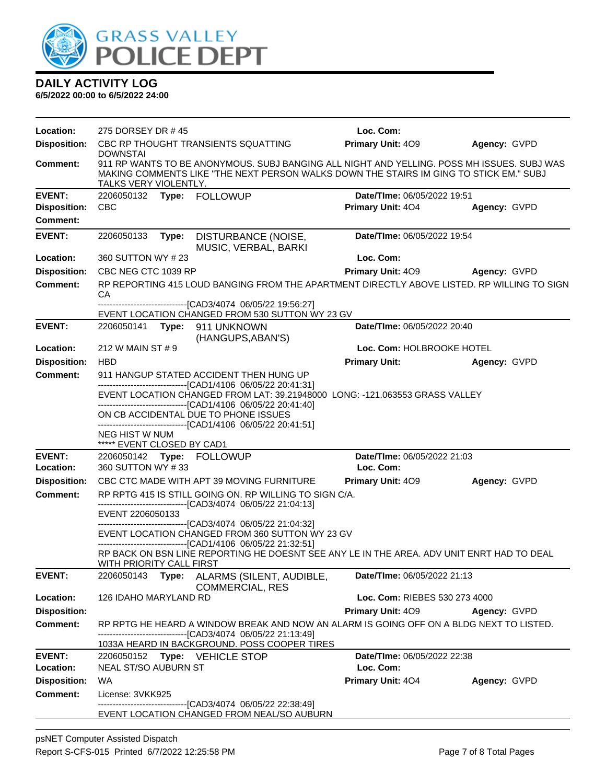

| Location:           | 275 DORSEY DR #45                                                                                                                                                                                           |  |                                                                                                                                                                                                         | Loc. Com:                     |              |
|---------------------|-------------------------------------------------------------------------------------------------------------------------------------------------------------------------------------------------------------|--|---------------------------------------------------------------------------------------------------------------------------------------------------------------------------------------------------------|-------------------------------|--------------|
| <b>Disposition:</b> | <b>DOWNSTAI</b>                                                                                                                                                                                             |  | CBC RP THOUGHT TRANSIENTS SQUATTING                                                                                                                                                                     | <b>Primary Unit: 409</b>      | Agency: GVPD |
| <b>Comment:</b>     | TALKS VERY VIOLENTLY.                                                                                                                                                                                       |  | 911 RP WANTS TO BE ANONYMOUS. SUBJ BANGING ALL NIGHT AND YELLING. POSS MH ISSUES. SUBJ WAS<br>MAKING COMMENTS LIKE "THE NEXT PERSON WALKS DOWN THE STAIRS IM GING TO STICK EM." SUBJ                    |                               |              |
| <b>EVENT:</b>       |                                                                                                                                                                                                             |  | 2206050132 Type: FOLLOWUP                                                                                                                                                                               | Date/TIme: 06/05/2022 19:51   |              |
| <b>Disposition:</b> | <b>CBC</b>                                                                                                                                                                                                  |  |                                                                                                                                                                                                         | Primary Unit: 404             | Agency: GVPD |
| <b>Comment:</b>     |                                                                                                                                                                                                             |  |                                                                                                                                                                                                         |                               |              |
| <b>EVENT:</b>       | 2206050133 Type:                                                                                                                                                                                            |  | DISTURBANCE (NOISE,<br>MUSIC, VERBAL, BARKI                                                                                                                                                             | Date/TIme: 06/05/2022 19:54   |              |
| Location:           | 360 SUTTON WY #23                                                                                                                                                                                           |  |                                                                                                                                                                                                         | Loc. Com:                     |              |
| <b>Disposition:</b> | CBC NEG CTC 1039 RP                                                                                                                                                                                         |  |                                                                                                                                                                                                         | <b>Primary Unit: 409</b>      | Agency: GVPD |
| <b>Comment:</b>     | СA                                                                                                                                                                                                          |  | RP REPORTING 415 LOUD BANGING FROM THE APARTMENT DIRECTLY ABOVE LISTED. RP WILLING TO SIGN                                                                                                              |                               |              |
|                     |                                                                                                                                                                                                             |  | -------------------------------[CAD3/4074 06/05/22 19:56:27]<br>EVENT LOCATION CHANGED FROM 530 SUTTON WY 23 GV                                                                                         |                               |              |
| <b>EVENT:</b>       |                                                                                                                                                                                                             |  | 2206050141 Type: 911 UNKNOWN<br>(HANGUPS, ABAN'S)                                                                                                                                                       | Date/TIme: 06/05/2022 20:40   |              |
| Location:           | 212 W MAIN ST # 9                                                                                                                                                                                           |  |                                                                                                                                                                                                         | Loc. Com: HOLBROOKE HOTEL     |              |
| <b>Disposition:</b> | <b>HBD</b>                                                                                                                                                                                                  |  |                                                                                                                                                                                                         | <b>Primary Unit:</b>          | Agency: GVPD |
| <b>Comment:</b>     |                                                                                                                                                                                                             |  | 911 HANGUP STATED ACCIDENT THEN HUNG UP                                                                                                                                                                 |                               |              |
|                     | --------------------------------[CAD1/4106 06/05/22 20:41:31]<br>EVENT LOCATION CHANGED FROM LAT: 39.21948000 LONG: -121.063553 GRASS VALLEY<br>------------------------------[CAD1/4106 06/05/22 20:41:40] |  |                                                                                                                                                                                                         |                               |              |
|                     |                                                                                                                                                                                                             |  | ON CB ACCIDENTAL DUE TO PHONE ISSUES<br>-------------------------------[CAD1/4106 06/05/22 20:41:51]                                                                                                    |                               |              |
|                     | <b>NEG HIST W NUM</b><br>***** EVENT CLOSED BY CAD1                                                                                                                                                         |  |                                                                                                                                                                                                         |                               |              |
| <b>EVENT:</b>       |                                                                                                                                                                                                             |  | 2206050142 Type: FOLLOWUP                                                                                                                                                                               | Date/TIme: 06/05/2022 21:03   |              |
| Location:           | 360 SUTTON WY #33                                                                                                                                                                                           |  |                                                                                                                                                                                                         | Loc. Com:                     |              |
| <b>Disposition:</b> |                                                                                                                                                                                                             |  | CBC CTC MADE WITH APT 39 MOVING FURNITURE                                                                                                                                                               | <b>Primary Unit: 409</b>      | Agency: GVPD |
| <b>Comment:</b>     |                                                                                                                                                                                                             |  | RP RPTG 415 IS STILL GOING ON. RP WILLING TO SIGN C/A.<br>-------------------------------[CAD3/4074 06/05/22 21:04:13]                                                                                  |                               |              |
|                     | EVENT 2206050133                                                                                                                                                                                            |  | -------------------------------[CAD3/4074 06/05/22 21:04:32]                                                                                                                                            |                               |              |
|                     |                                                                                                                                                                                                             |  | EVENT LOCATION CHANGED FROM 360 SUTTON WY 23 GV<br>-------------------------------[CAD1/4106 06/05/22 21:32:51]                                                                                         |                               |              |
|                     |                                                                                                                                                                                                             |  | RP BACK ON BSN LINE REPORTING HE DOESNT SEE ANY LE IN THE AREA. ADV UNIT ENRT HAD TO DEAL                                                                                                               |                               |              |
| <b>EVENT:</b>       | WITH PRIORITY CALL FIRST<br>2206050143 Type:                                                                                                                                                                |  | ALARMS (SILENT, AUDIBLE,                                                                                                                                                                                | Date/TIme: 06/05/2022 21:13   |              |
|                     | <b>126 IDAHO MARYLAND RD</b>                                                                                                                                                                                |  | <b>COMMERCIAL, RES</b>                                                                                                                                                                                  |                               |              |
| Location:           |                                                                                                                                                                                                             |  |                                                                                                                                                                                                         | Loc. Com: RIEBES 530 273 4000 |              |
| <b>Disposition:</b> |                                                                                                                                                                                                             |  |                                                                                                                                                                                                         | Primary Unit: 409             | Agency: GVPD |
| <b>Comment:</b>     |                                                                                                                                                                                                             |  | RP RPTG HE HEARD A WINDOW BREAK AND NOW AN ALARM IS GOING OFF ON A BLDG NEXT TO LISTED.<br>-------------------------------[CAD3/4074 06/05/22 21:13:49]<br>1033A HEARD IN BACKGROUND. POSS COOPER TIRES |                               |              |
| <b>EVENT:</b>       |                                                                                                                                                                                                             |  | 2206050152 Type: VEHICLE STOP                                                                                                                                                                           | Date/TIme: 06/05/2022 22:38   |              |
| Location:           | NEAL ST/SO AUBURN ST                                                                                                                                                                                        |  |                                                                                                                                                                                                         | Loc. Com:                     |              |
| <b>Disposition:</b> | <b>WA</b>                                                                                                                                                                                                   |  |                                                                                                                                                                                                         | Primary Unit: 404             | Agency: GVPD |
| <b>Comment:</b>     | License: 3VKK925                                                                                                                                                                                            |  | ---------------------[CAD3/4074_06/05/22 22:38:49]                                                                                                                                                      |                               |              |
|                     |                                                                                                                                                                                                             |  | EVENT LOCATION CHANGED FROM NEAL/SO AUBURN                                                                                                                                                              |                               |              |